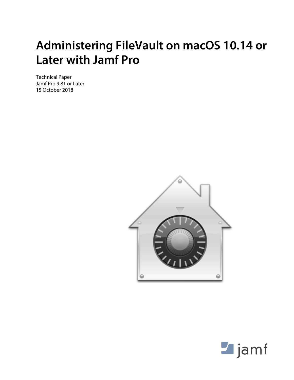# **Administering FileVault on macOS 10.14 or Later with Jamf Pro**

Technical Paper Jamf Pro 9.81 or Later 15 October 2018



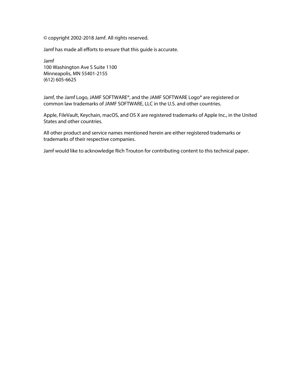© copyright 2002-2018 Jamf. All rights reserved.

Jamf has made all efforts to ensure that this guide is accurate.

Jamf 100 Washington Ave S Suite 1100 Minneapolis, MN 55401-2155 (612) 605-6625

Jamf, the Jamf Logo, JAMF SOFTWARE®, and the JAMF SOFTWARE Logo® are registered or common law trademarks of JAMF SOFTWARE, LLC in the U.S. and other countries.

Apple, FileVault, Keychain, macOS, and OS X are registered trademarks of Apple Inc., in the United States and other countries.

All other product and service names mentioned herein are either registered trademarks or trademarks of their respective companies.

Jamf would like to acknowledge Rich Trouton for contributing content to this technical paper.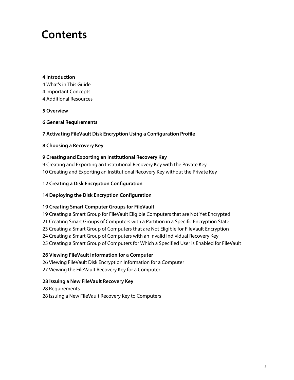## **Contents**

#### **[Introduction](#page-3-0)**

 [What's in This Guide](#page-3-1) [Important Concepts](#page-3-2) [Additional Resources](#page-3-3)

**[Overview](#page-4-0)**

**[General Requirements](#page-5-0)**

**[Activating FileVault Disk Encryption Using a Configuration Profile](#page-6-0)**

### **[Choosing a Recovery Key](#page-7-0)**

### **[Creating and Exporting an Institutional Recovery Key](#page-8-0)**

 [Creating and Exporting an Institutional Recovery Key with the Private Key](#page-8-1) [Creating and Exporting an Institutional Recovery Key without the Private Key](#page-9-0)

### **[Creating a Disk Encryption Configuration](#page-11-0)**

### **[Deploying the Disk Encryption Configuration](#page-13-0)**

### **[Creating Smart Computer Groups for FileVault](#page-18-0)**

 [Creating a Smart Group for FileVault Eligible Computers that are Not Yet Encrypted](#page-18-1) [Creating Smart Groups of Computers with a Partition in a Specific Encryption State](#page-20-0) [Creating a Smart Group of Computers that are Not Eligible for FileVault Encryption](#page-22-0) [Creating a Smart Group of Computers with an Invalid Individual Recovery Key](#page-23-0) [Creating a Smart Group of Computers for Which a Specified User is Enabled for FileVault](#page-24-0)

### **[Viewing FileVault Information for a Computer](#page-25-0)**

 [Viewing FileVault Disk Encryption Information for a Computer](#page-25-1) [Viewing the FileVault Recovery Key for a Computer](#page-26-0)

### **[Issuing a New FileVault Recovery Key](#page-27-0)**

 [Requirements](#page-27-1) [Issuing a New FileVault Recovery Key to Computers](#page-27-2)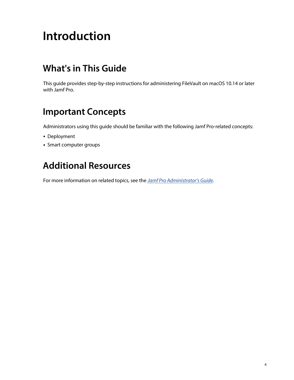# <span id="page-3-0"></span>**Introduction**

## <span id="page-3-1"></span>**What's in This Guide**

This guide provides step-by-step instructions for administering FileVault on macOS 10.14 or later with Jamf Pro.

## <span id="page-3-2"></span>**Important Concepts**

Administrators using this guide should be familiar with the following Jamf Pro-related concepts:

- **Deployment**
- Smart computer groups

## <span id="page-3-3"></span>**Additional Resources**

For more information on related topics, see the *[Jamf Pro Administrator's Guide](http://docs.jamf.com/jamf-pro/administrator-guide/index.html).*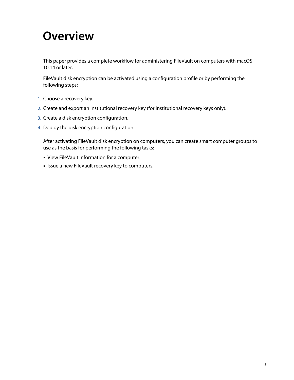## <span id="page-4-0"></span>**Overview**

This paper provides a complete workflow for administering FileVault on computers with macOS 10.14 or later.

FileVault disk encryption can be activated using a configuration profile or by performing the following steps:

- 1. Choose a recovery key.
- 2. Create and export an institutional recovery key (for institutional recovery keys only).
- 3. Create a disk encryption configuration.
- 4. Deploy the disk encryption configuration.

After activating FileVault disk encryption on computers, you can create smart computer groups to use as the basis for performing the following tasks:

- View FileVault information for a computer.
- **Issue a new FileVault recovery key to computers.**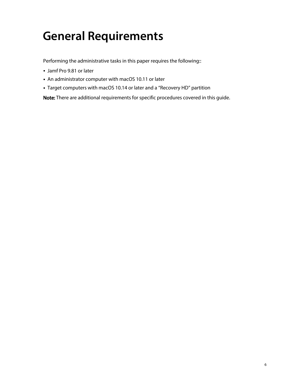# <span id="page-5-0"></span>**General Requirements**

Performing the administrative tasks in this paper requires the following::

- Jamf Pro 9.81 or later
- An administrator computer with macOS 10.11 or later
- Target computers with macOS 10.14 or later and a "Recovery HD" partition

Note: There are additional requirements for specific procedures covered in this guide.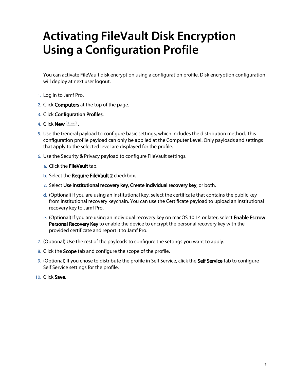# <span id="page-6-0"></span>**Activating FileVault Disk Encryption Using a Configuration Profile**

You can activate FileVault disk encryption using a configuration profile. Disk encryption configuration will deploy at next user logout.

- 1. Log in to Jamf Pro.
- 2. Click **Computers** at the top of the page.
- 3. Click Configuration Profiles.
- 4. Click **New**  $\overset{+}{\longleftarrow}$ .
- 5. Use the General payload to configure basic settings, which includes the distribution method. This configuration profile payload can only be applied at the Computer Level. Only payloads and settings that apply to the selected level are displayed for the profile.
- 6. Use the Security & Privacy payload to configure FileVault settings.
	- a. Click the **FileVault** tab.
	- b. Select the **Require FileVault 2** checkbox.
	- c. Select Use institutional recovery key, Create individual recovery key, or both.
	- d. (Optional) If you are using an institutional key, select the certificate that contains the public key from institutional recovery keychain. You can use the Certificate payload to upload an institutional recovery key to Jamf Pro.
	- e. (Optional) If you are using an individual recovery key on macOS 10.14 or later, select **Enable Escrow** Personal Recovery Key to enable the device to encrypt the personal recovery key with the provided certificate and report it to Jamf Pro.
- 7. (Optional) Use the rest of the payloads to configure the settings you want to apply.
- 8. Click the Scope tab and configure the scope of the profile.
- 9. (Optional) If you chose to distribute the profile in Self Service, click the Self Service tab to configure Self Service settings for the profile.
- 10. Click Save.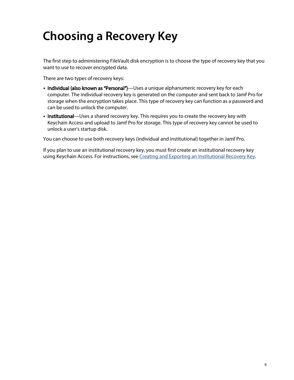# <span id="page-7-0"></span>**Choosing a Recovery Key**

The first step to administering FileVault disk encryption is to choose the type of recovery key that you want to use to recover encrypted data.

There are two types of recovery keys:

- **Individual (also known as "Personal")**—Uses a unique alphanumeric recovery key for each computer. The individual recovery key is generated on the computer and sent back to Jamf Pro for storage when the encryption takes place. This type of recovery key can function as a password and can be used to unlock the computer.
- Institutional—Uses a shared recovery key. This requires you to create the recovery key with Keychain Access and upload to Jamf Pro for storage. This type of recovery key cannot be used to unlock a user's startup disk.

You can choose to use both recovery keys (individual and institutional) together in Jamf Pro.

If you plan to use an institutional recovery key, you must first create an institutional recovery key using Keychain Access. For instructions, see *Creating and Exporting an Institutional Recovery Key*.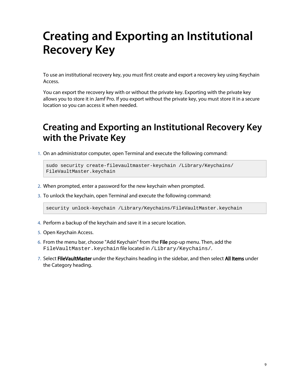# <span id="page-8-0"></span>**Creating and Exporting an Institutional Recovery Key**

To use an institutional recovery key, you must first create and export a recovery key using Keychain Access.

You can export the recovery key with or without the private key. Exporting with the private key allows you to store it in Jamf Pro. If you export without the private key, you must store it in a secure location so you can access it when needed.

### <span id="page-8-1"></span>**Creating and Exporting an Institutional Recovery Key with the Private Key**

1. On an administrator computer, open Terminal and execute the following command:

```
sudo security create-filevaultmaster-keychain /Library/Keychains/
FileVaultMaster.keychain
```
- 2. When prompted, enter a password for the new keychain when prompted.
- 3. To unlock the keychain, open Terminal and execute the following command:

security unlock-keychain /Library/Keychains/FileVaultMaster.keychain

- 4. Perform a backup of the keychain and save it in a secure location.
- 5. Open Keychain Access.
- 6. From the menu bar, choose "Add Keychain" from the File pop-up menu. Then, add the FileVaultMaster.keychain file located in /Library/Keychains/.
- 7. Select FileVaultMaster under the Keychains heading in the sidebar, and then select All Items under the Category heading.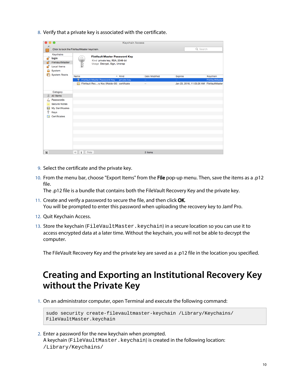8. Verify that a private key is associated with the certificate.

|                                      | <b>Keychain Access</b>                                                                               |                     |                                                                                                        |              |                      |                          |                                           |                 |
|--------------------------------------|------------------------------------------------------------------------------------------------------|---------------------|--------------------------------------------------------------------------------------------------------|--------------|----------------------|--------------------------|-------------------------------------------|-----------------|
|                                      | Click to lock the FileVaultMaster keychain.                                                          |                     |                                                                                                        | Q Search     |                      |                          |                                           |                 |
|                                      | Keychains<br>login<br>FileVaultMaster<br>Local Items<br>System                                       |                     | <b>FileVault Master Password Key</b><br>Kind private key, RSA, 2048-bit<br>Usage Decrypt, Sign, Unwrap |              |                      |                          |                                           |                 |
|                                      | <b>System Roots</b>                                                                                  | Name                |                                                                                                        | $\land$ Kind | <b>Date Modified</b> | <b>Expires</b>           |                                           | Keychain        |
|                                      |                                                                                                      | ę<br>贾              | <b>FileVault Master Password Key</b><br>FileVault Recry Key (Waldo-00) certificate                     | private key  | $\sim$               | $\overline{\phantom{a}}$ | Jan 23, 2016, 11:05:28 AM FileVaultMaster | FileVaultMaster |
| 區<br>ę                               | Category<br>All Items<br>Passwords<br><b>Secure Notes</b><br>My Certificates<br>Keys<br>Certificates |                     |                                                                                                        |              |                      |                          |                                           |                 |
|                                      |                                                                                                      |                     |                                                                                                        |              |                      |                          |                                           |                 |
| $\boxed{\color{blue}\blacktriangle}$ |                                                                                                      | $^{+}$<br>Copy<br>i |                                                                                                        |              | 2 items              |                          |                                           |                 |

- 9. Select the certificate and the private key.
- 10. From the menu bar, choose "Export Items" from the File pop-up menu. Then, save the items as a .p12 file.

The .p12 file is a bundle that contains both the FileVault Recovery Key and the private key.

- 11. Create and verify a password to secure the file, and then click OK. You will be prompted to enter this password when uploading the recovery key to Jamf Pro.
- 12. Quit Keychain Access.
- 13. Store the keychain (FileVaultMaster.keychain) in a secure location so you can use it to access encrypted data at a later time. Without the keychain, you will not be able to decrypt the computer.

The FileVault Recovery Key and the private key are saved as a .p12 file in the location you specified.

### <span id="page-9-0"></span>**Creating and Exporting an Institutional Recovery Key without the Private Key**

1. On an administrator computer, open Terminal and execute the following command:

```
sudo security create-filevaultmaster-keychain /Library/Keychains/
FileVaultMaster.keychain
```
2. Enter a password for the new keychain when prompted. A keychain (FileVaultMaster.keychain) is created in the following location: /Library/Keychains/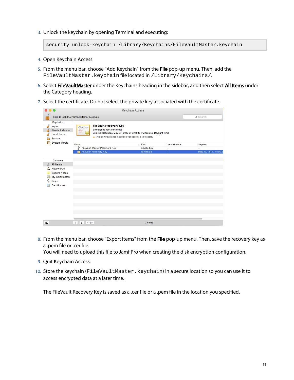3. Unlock the keychain by opening Terminal and executing:

```
security unlock-keychain /Library/Keychains/FileVaultMaster.keychain
```
- 4. Open Keychain Access.
- 5. From the menu bar, choose "Add Keychain" from the File pop-up menu. Then, add the FileVaultMaster.keychain file located in /Library/Keychains/.
- 6. Select FileVaultMaster under the Keychains heading in the sidebar, and then select All Items under the Category heading.
- 7. Select the certificate. Do not select the private key associated with the certificate.

|                |                                                                                                      |                                                                                       |                                                                                                                                                                                                 | <b>Keychain Access</b> |                          |                       |
|----------------|------------------------------------------------------------------------------------------------------|---------------------------------------------------------------------------------------|-------------------------------------------------------------------------------------------------------------------------------------------------------------------------------------------------|------------------------|--------------------------|-----------------------|
|                | Click to lock the FileVaultMaster keychain.                                                          |                                                                                       |                                                                                                                                                                                                 |                        |                          | Q Search              |
|                | Keychains<br>login<br>FileVaultMaster<br>Local Items<br>System                                       | Certificate<br>$\begin{array}{l} \hline \text{Coul} \\\hline \text{Coul} \end{array}$ | <b>FileVault Recovery Key</b><br>Self-signed root certificate<br>Expires: Saturday, May 27, 2017 at 2:19:35 PM Central Daylight Time<br>This certificate has not been verified by a third party |                        |                          |                       |
|                | <b>System Roots</b>                                                                                  | Name                                                                                  |                                                                                                                                                                                                 | $\land$ Kind           | Date Modified            | Expires               |
|                |                                                                                                      | ę                                                                                     | FileVault Master Password Key                                                                                                                                                                   | private key            | $\overline{\phantom{a}}$ | $\qquad \qquad -$     |
|                | Category<br>All Items<br>Passwords<br><b>Secure Notes</b><br>My Certificates<br>Keys<br>Certificates |                                                                                       | FileVault Recovery Key                                                                                                                                                                          | certificate            | $\overline{\phantom{a}}$ | May 27, 2017, 2:19:35 |
| $\blacksquare$ |                                                                                                      | $^{+}$<br>$\mathbf{i}$<br>Copy                                                        |                                                                                                                                                                                                 | 2 items                |                          |                       |

8. From the menu bar, choose "Export Items" from the File pop-up menu. Then, save the recovery key as a .pem file or .cer file.

You will need to upload this file to Jamf Pro when creating the disk encryption configuration.

- 9. Quit Keychain Access.
- 10. Store the keychain (FileVaultMaster.keychain) in a secure location so you can use it to access encrypted data at a later time.

The FileVault Recovery Key is saved as a .cer file or a .pem file in the location you specified.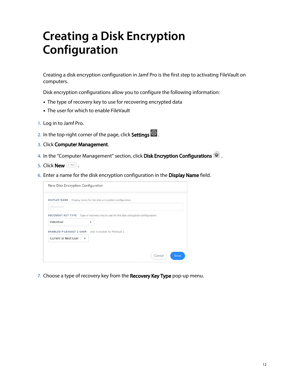# <span id="page-11-0"></span>**Creating a Disk Encryption Configuration**

Creating a disk encryption configuration in Jamf Pro is the first step to activating FileVault on computers.

Disk encryption configurations allow you to configure the following information:

- The type of recovery key to use for recovering encrypted data
- The user for which to enable FileVault
- 1. Log in to Jamf Pro.
- 2. In the top-right corner of the page, click **Settings ...**.
- 3. Click Computer Management.
- 4. In the "Computer Management" section, click **Disk Encryption Configurations 10** .
- 5. Click **New**  $\left( \begin{array}{c} + & \text{New} \\ & \text{New} \end{array} \right)$ .
- 6. Enter a name for the disk encryption configuration in the Display Name field.

| New Disk Encryption Configuration                                                           |                                                                                          |  |  |  |  |  |  |
|---------------------------------------------------------------------------------------------|------------------------------------------------------------------------------------------|--|--|--|--|--|--|
| [Required]                                                                                  | DISPLAY NAME Display name for the disk encryption configuration                          |  |  |  |  |  |  |
| Individual                                                                                  | RECOVERY KEY TYPE Type of recovery key to use for the disk encryption configuration<br>v |  |  |  |  |  |  |
| <b>ENABLED FILEVAULT 2 USER</b> User to enable for FileVault 2<br>Current or Next User<br>÷ |                                                                                          |  |  |  |  |  |  |
|                                                                                             |                                                                                          |  |  |  |  |  |  |
|                                                                                             | Cancel<br>Save                                                                           |  |  |  |  |  |  |

7. Choose a type of recovery key from the **Recovery Key Type** pop-up menu.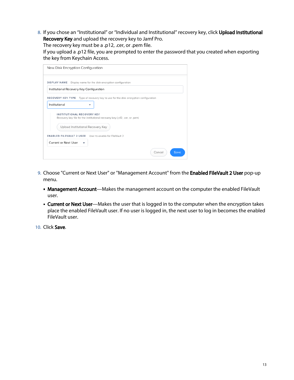8. If you chose an "Institutional" or "Individual and Institutional" recovery key, click **Upload Institutional** Recovery Key and upload the recovery key to Jamf Pro.

The recovery key must be a .p12, .cer, or .pem file.

If you upload a .p12 file, you are prompted to enter the password that you created when exporting the key from Keychain Access.

| New Disk Encryption Configuration                                                                                                                                                                                                                                 |                |
|-------------------------------------------------------------------------------------------------------------------------------------------------------------------------------------------------------------------------------------------------------------------|----------------|
| <b>DISPLAY NAME</b><br>Display name for the disk encryption configuration                                                                                                                                                                                         |                |
| Institutional Recovery Key Configuration                                                                                                                                                                                                                          |                |
| RECOVERY KEY TYPE Type of recovery key to use for the disk encryption configuration<br>Institutional<br>v<br><b>INSTITUTIONAL RECOVERY KEY</b><br>Recovery key file for the institutional recovery key (.p12, .cer, or .pem)<br>Upload Institutional Recovery Key |                |
| <b>ENABLED FILEVAULT 2 USER</b> User to enable for FileVault 2                                                                                                                                                                                                    |                |
| Current or Next User                                                                                                                                                                                                                                              |                |
|                                                                                                                                                                                                                                                                   | Cancel<br>Save |

- 9. Choose "Current or Next User" or "Management Account" from the **Enabled FileVault 2 User** pop-up menu.
	- Management Account—Makes the management account on the computer the enabled FileVault user.
	- **Current or Next User**—Makes the user that is logged in to the computer when the encryption takes place the enabled FileVault user. If no user is logged in, the next user to log in becomes the enabled FileVault user.

10. Click Save.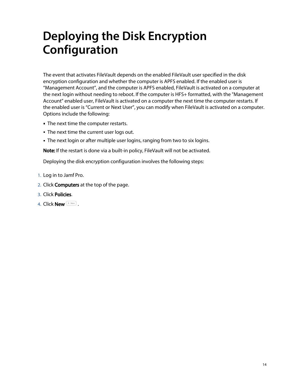# <span id="page-13-0"></span>**Deploying the Disk Encryption Configuration**

The event that activates FileVault depends on the enabled FileVault user specified in the disk encryption configuration and whether the computer is APFS enabled. If the enabled user is "Management Account", and the computer is APFS enabled, FileVault is activated on a computer at the next login without needing to reboot. If the computer is HFS+ formatted, with the "Management Account" enabled user, FileVault is activated on a computer the next time the computer restarts. If the enabled user is "Current or Next User", you can modify when FileVault is activated on a computer. Options include the following:

- **The next time the computer restarts.**
- The next time the current user logs out.
- The next login or after multiple user logins, ranging from two to six logins.

Note: If the restart is done via a built-in policy, FileVault will not be activated.

Deploying the disk encryption configuration involves the following steps:

- 1. Log in to Jamf Pro.
- 2. Click **Computers** at the top of the page.
- 3. Click Policies.
- 4. Click **New**  $\overset{+}{\longleftarrow}$ .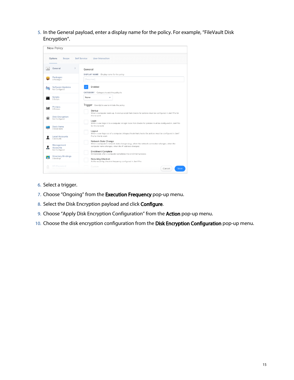5. In the General payload, enter a display name for the policy. For example, "FileVault Disk Encryption".

| New Policy                                     |                                                                                                                                                                      |
|------------------------------------------------|----------------------------------------------------------------------------------------------------------------------------------------------------------------------|
| Options                                        | <b>Self Service</b>                                                                                                                                                  |
| Scope                                          | <b>User Interaction</b>                                                                                                                                              |
| $\mathcal{P}$                                  | General                                                                                                                                                              |
| General                                        | <b>DISPLAY NAME</b>                                                                                                                                                  |
| Packages                                       | Display name for the policy                                                                                                                                          |
| 0 Packages                                     | [Required]                                                                                                                                                           |
| <b>Software Updates</b><br>ര<br>Not Configured | <b>Enabled</b><br><b>CATEGORY</b> Category to add the policy to                                                                                                      |
| <b>Scripts</b>                                 | None                                                                                                                                                                 |
| 0 Scripts                                      | ٠                                                                                                                                                                    |
| <b>Printers</b><br>0 Printers                  | Trigger Event(s) to use to initiate the policy<br>Startup<br>When a computer starts up. A startup script that checks for policies must be configured in Jamf Pro for |
| <b>Disk Encryption</b><br>Not Configured       | this to work<br>Login<br>When a user logs in to a computer. A login hook that checks for policies must be configured in Jamf Pro                                     |
| Dock Items                                     | for this to work                                                                                                                                                     |
| 0 Dock Items                                   | Logout                                                                                                                                                               |
| <b>Local Accounts</b><br>0 Accounts            | When a user logs out of a computer. A logout hook that checks for policies must be configured in Jamf<br>Pro for this to work<br>Network State Change                |
| Management                                     | When a computer's network state changes (e.g., when the network connection changes, when the                                                                         |
| <b>Accounts</b>                                | computer name changes, when the IP address changes)                                                                                                                  |
| Not Configured                                 | <b>Enrollment Complete</b>                                                                                                                                           |
| <b>Directory Bindings</b>                      | Immediately after a computer completes the enrollment process                                                                                                        |
| $\bullet$                                      | Recurring Check-in                                                                                                                                                   |
| 0 Bindings                                     | At the recurring check-in frequency configured in Jamf Pro                                                                                                           |
| EFI Password                                   | Custom<br>Cancel<br>Save                                                                                                                                             |

- 6. Select a trigger.
- 7. Choose "Ongoing" from the **Execution Frequency** pop-up menu.
- 8. Select the Disk Encryption payload and click Configure.
- 9. Choose "Apply Disk Encryption Configuration" from the **Action** pop-up menu.
- 10. Choose the disk encryption configuration from the Disk Encryption Configuration pop-up menu.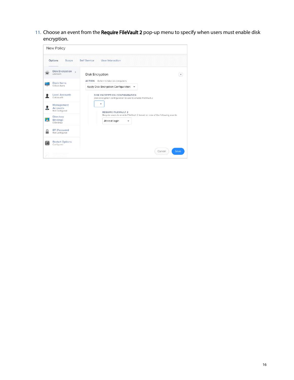11. Choose an event from the Require FileVault 2 pop-up menu to specify when users must enable disk encryption.

|                                    | New Policy                                          |                                                                                                    |
|------------------------------------|-----------------------------------------------------|----------------------------------------------------------------------------------------------------|
|                                    | Options<br>Scope                                    | User Interaction<br>Self Service                                                                   |
|                                    | <b>Disk Encryption</b><br>$\rightarrow$<br>unknown. | Disk Encryption                                                                                    |
|                                    | <b>Dock Items</b><br>0 Dock Items                   | <b>ACTION</b> Action to take on computers<br>Apply Disk Encryption Configuration $\bullet$         |
|                                    | <b>Local Accounts</b><br>0 Accounts                 | <b>DISK ENCRYPTION CONFIGURATION</b><br>Disk encryption configuration to use to enable FileVault 2 |
| $\mathbf{V}$                       | Management<br><b>Accounts</b><br>Not Configured     | <b>REQUIRE FILEVAULT 2</b>                                                                         |
| ló.                                | Directory<br><b>Bindings</b><br>0 Bindings          | Require users to enable FileVault 2 based on one of the following events<br>At next login<br>v     |
| n<br>٠                             | <b>EFI Password</b><br>Not Configured               |                                                                                                    |
| $\frac{2\pi}{\sigma_{\rm{eff}}^2}$ | <b>Restart Options</b><br>Configured                |                                                                                                    |
|                                    | anancı                                              | Cancel<br>Save                                                                                     |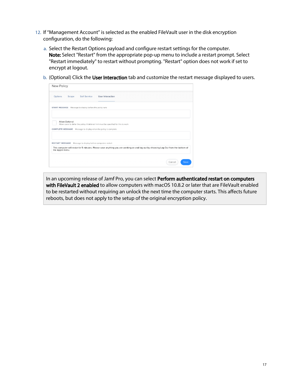- 12. If "Management Account" is selected as the enabled FileVault user in the disk encryption configuration, do the following:
	- a. Select the Restart Options payload and configure restart settings for the computer. Note: Select "Restart" from the appropriate pop-up menu to include a restart prompt. Select "Restart immediately" to restart without prompting. "Restart" option does not work if set to encrypt at logout.
	- b. (Optional) Click the **User Interaction** tab and customize the restart message displayed to users.

| Options<br><b>Self Service</b><br>Scope                                                  |                                                                                                                                     |
|------------------------------------------------------------------------------------------|-------------------------------------------------------------------------------------------------------------------------------------|
|                                                                                          | <b>User Interaction</b>                                                                                                             |
| START MESSAGE Message to display before the policy runs                                  |                                                                                                                                     |
| Allow Deferral<br><b>COMPLETE MESSAGE</b> Message to display when the policy is complete | Allow users to defer the policy. A deferral limit must be specified for this to work                                                |
| RESTART MESSAGE Message to display before computers restart                              | This computer will restart in 5 minutes. Please save anything you are working on and log out by choosing Log Out from the bottom of |

In an upcoming release of Jamf Pro, you can select Perform authenticated restart on computers with FileVault 2 enabled to allow computers with macOS 10.8.2 or later that are FileVault enabled to be restarted without requiring an unlock the next time the computer starts. This affects future reboots, but does not apply to the setup of the original encryption policy.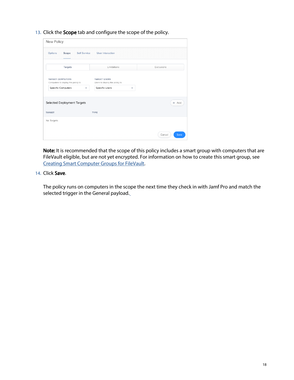13. Click the **Scope** tab and configure the scope of the policy.

| New Policy                                                   |                                                      |                |
|--------------------------------------------------------------|------------------------------------------------------|----------------|
| <b>Self Service</b><br>Options<br>Scope                      | <b>User Interaction</b>                              |                |
| <b>Targets</b>                                               | Limitations                                          | Exclusions     |
| <b>TARGET COMPUTERS</b><br>Computers to deploy the policy to | <b>TARGET USERS</b><br>Users to deploy the policy to |                |
| Specific Computers<br>۰                                      | Specific Users<br>▼                                  |                |
| Selected Deployment Targets                                  |                                                      | + Add          |
| <b>TARGET</b>                                                | TYPE                                                 |                |
| No Targets                                                   |                                                      |                |
|                                                              |                                                      | Save<br>Cancel |

Note: It is recommended that the scope of this policy includes a smart group with computers that are FileVault eligible, but are not yet encrypted. For information on how to create this smart group, see [Creating Smart Computer Groups for FileVault.](#page-18-2)

#### 14. Click Save.

The policy runs on computers in the scope the next time they check in with Jamf Pro and match the selected trigger in the General payload.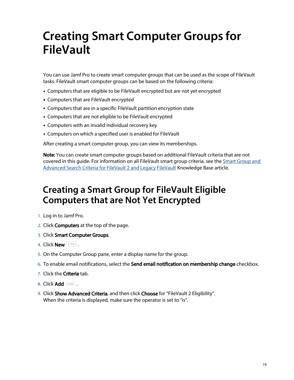# <span id="page-18-2"></span><span id="page-18-0"></span>**Creating Smart Computer Groups for FileVault**

You can use Jamf Pro to create smart computer groups that can be used as the scope of FileVault tasks. FileVault smart computer groups can be based on the following criteria:

- Computers that are eligible to be FileVault encrypted but are not yet encrypted
- Computers that are FileVault encrypted
- Computers that are in a specific FileVault partition encryption state
- Computers that are not eligible to be FileVault encrypted
- Computers with an invalid individual recovery key
- Computers on which a specified user is enabled for FileVault

After creating a smart computer group, you can view its memberships.

Note: You can create smart computer groups based on additional FileVault criteria that are not covered in this guide. For information on all FileVault smart group criteria, see the [Smart Group and](https://www.jamf.com/jamf-nation/articles/346/)  [Advanced Search Criteria for FileVault 2 and Legacy FileVault](https://www.jamf.com/jamf-nation/articles/346/) Knowledge Base article.

### <span id="page-18-1"></span>**Creating a Smart Group for FileVault Eligible Computers that are Not Yet Encrypted**

- 1. Log in to Jamf Pro.
- 2. Click **Computers** at the top of the page.
- 3. Click Smart Computer Groups.
- 4. Click **New**  $\left( \begin{array}{c} + & \text{New} \\ & \text{New} \end{array} \right)$ .
- 5. On the Computer Group pane, enter a display name for the group.
- 6. To enable email notifications, select the **Send email notification on membership change** checkbox.
- 7. Click the **Criteria** tab.
- 8. Click  $Add$   $($   $#Add$   $)$  .
- 9. Click **Show Advanced Criteria**, and then click **Choose** for "FileVault 2 Eligibility". When the criteria is displayed, make sure the operator is set to "is".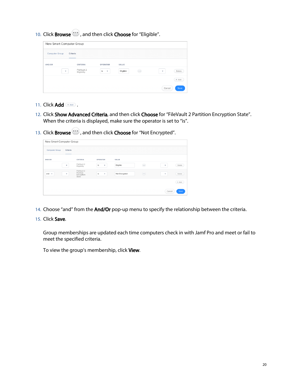10. Click **Browse**  $\ddot{\cdots}$ , and then click **Choose** for "Eligible".

| New Smart Computer Group |                            |                 |                   |                |  |  |  |  |
|--------------------------|----------------------------|-----------------|-------------------|----------------|--|--|--|--|
| <b>Computer Group</b>    | Criteria<br>______         |                 |                   |                |  |  |  |  |
| AND/OR                   | CRITERIA                   | <b>OPERATOR</b> | VALUE             |                |  |  |  |  |
| ۰                        | FileVault 2<br>Eligibility | is<br>۰         | Eligible<br>(000) | Delete<br>٠    |  |  |  |  |
|                          |                            |                 |                   | $+$ Add        |  |  |  |  |
|                          |                            |                 |                   | Cancel<br>Save |  |  |  |  |

- 11. Click  $Add$   $A$ <sup> $\ddagger$   $A$ dd</sub>  $\ddagger$ </sup>
- 12. Click Show Advanced Criteria, and then click Choose for "FileVault 2 Partition Encryption State". When the criteria is displayed, make sure the operator is set to "is".
- 13. Click **Browse** , and then click **Choose** for "Not Encrypted".

| New Smart Computer Group |                  |                                                 |                    |               |                                                                                            |                |  |  |
|--------------------------|------------------|-------------------------------------------------|--------------------|---------------|--------------------------------------------------------------------------------------------|----------------|--|--|
| <b>Computer Group</b>    | Criteria<br>____ |                                                 |                    |               |                                                                                            |                |  |  |
| AND/OR                   |                  | CRITERIA                                        | <b>OPERATOR</b>    | VALUE         |                                                                                            |                |  |  |
|                          | $\mathbf{v}$     | FileVault 2<br>Eligibility                      | is<br>$\mathbf{v}$ | Eligible      | $\begin{pmatrix} \bullet & \bullet & \bullet \\ \bullet & \bullet & \bullet \end{pmatrix}$ | Delete<br>۰    |  |  |
| and $\sqrt{ }$           | ۰                | FileVault 2<br>Partition<br>Encryption<br>State | is<br>$\mathbf{v}$ | Not Encrypted | $\left(\bullet\bullet\bullet\right)$                                                       | Delete<br>۰    |  |  |
|                          |                  |                                                 |                    |               |                                                                                            | $+$ Add        |  |  |
|                          |                  |                                                 |                    |               |                                                                                            | Save<br>Cancel |  |  |

- 14. Choose "and" from the **And/Or** pop-up menu to specify the relationship between the criteria.
- 15. Click Save.

Group memberships are updated each time computers check in with Jamf Pro and meet or fail to meet the specified criteria.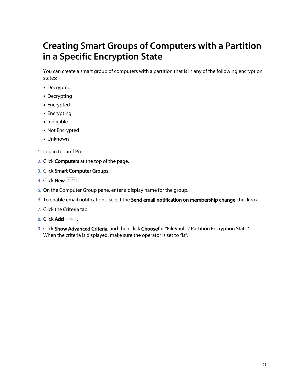## <span id="page-20-0"></span>**Creating Smart Groups of Computers with a Partition in a Specific Encryption State**

You can create a smart group of computers with a partition that is in any of the following encryption states:

- Decrypted
- Decrypting
- **Encrypted**
- **Encrypting**
- **Ineligible**
- Not Encrypted
- Unknown
- 1. Log in to Jamf Pro.
- 2. Click **Computers** at the top of the page.
- 3. Click Smart Computer Groups.
- 4. Click **New**  $\overset{+}{\longleftarrow}$ .
- 5. On the Computer Group pane, enter a display name for the group.
- 6. To enable email notifications, select the **Send email notification on membership change** checkbox.
- 7. Click the **Criteria** tab.
- 8. Click Add  $\overline{\phantom{a}}$  .
- 9. Click Show Advanced Criteria, and then click Choosefor "FileVault 2 Partition Encryption State". When the criteria is displayed, make sure the operator is set to "is".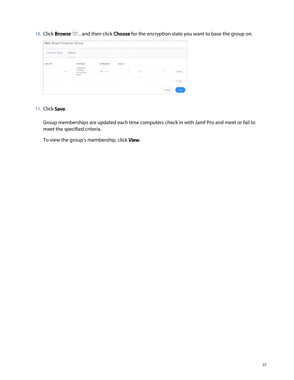10. Click **Browse**  $\ddots$ , and then click **Choose** for the encryption state you want to base the group on.

| New Smart Computer Group |                                                 |                               |       |                |  |  |  |
|--------------------------|-------------------------------------------------|-------------------------------|-------|----------------|--|--|--|
| <b>Computer Group</b>    | Criteria<br>______                              |                               |       |                |  |  |  |
| AND/OR                   | CRITERIA                                        | <b>OPERATOR</b>               | VALUE |                |  |  |  |
| ٠                        | FileVault 2<br>Partition<br>Encryption<br>State | is<br>$\overline{\mathbf{v}}$ | (000) | Delete<br>۰    |  |  |  |
|                          |                                                 |                               |       | $+$ Add        |  |  |  |
|                          |                                                 |                               |       | Cancel<br>Save |  |  |  |

11. Click Save.

Group memberships are updated each time computers check in with Jamf Pro and meet or fail to meet the specified criteria.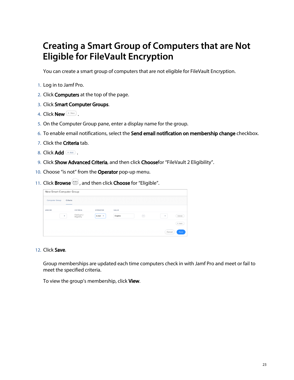## <span id="page-22-0"></span>**Creating a Smart Group of Computers that are Not Eligible for FileVault Encryption**

You can create a smart group of computers that are not eligible for FileVault Encryption.

- 1. Log in to Jamf Pro.
- 2. Click **Computers** at the top of the page.
- 3. Click Smart Computer Groups.
- 4. Click **New**  $\left( \begin{array}{c} + & \text{New} \\ & \text{New} \end{array} \right)$ .
- 5. On the Computer Group pane, enter a display name for the group.
- 6. To enable email notifications, select the **Send email notification on membership change** checkbox.
- 7. Click the **Criteria** tab.
- 8. Click  $Add$   $A^{4d}$ .
- 9. Click **Show Advanced Criteria**, and then click **Choose**for "FileVault 2 Eligibility".
- 10. Choose "is not" from the Operator pop-up menu.
- 11. Click **Browse :** and then click **Choose** for "Eligible".

| New Smart Computer Group          |                            |                   |          |                                                                                            |                                    |
|-----------------------------------|----------------------------|-------------------|----------|--------------------------------------------------------------------------------------------|------------------------------------|
| <b>Computer Group</b><br>Criteria |                            |                   |          |                                                                                            |                                    |
| AND/OR                            | CRITERIA                   | <b>OPERATOR</b>   | VALUE    |                                                                                            |                                    |
| ٠                                 | FileVault 2<br>Eligibility | is not $\sqrt{ }$ | Eligible | $\begin{pmatrix} \bullet & \bullet & \bullet \\ \bullet & \bullet & \bullet \end{pmatrix}$ | Delete<br>$\overline{\phantom{a}}$ |
|                                   |                            |                   |          |                                                                                            | + Add                              |
|                                   |                            |                   |          |                                                                                            | Cancel<br>Save                     |

12. Click Save.

Group memberships are updated each time computers check in with Jamf Pro and meet or fail to meet the specified criteria.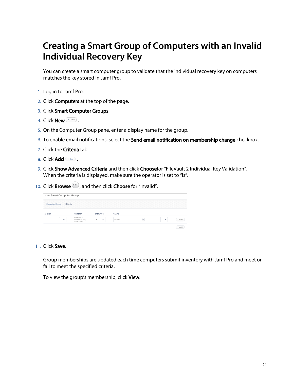## <span id="page-23-0"></span>**Creating a Smart Group of Computers with an Invalid Individual Recovery Key**

You can create a smart computer group to validate that the individual recovery key on computers matches the key stored in Jamf Pro.

- 1. Log in to Jamf Pro.
- 2. Click **Computers** at the top of the page.
- 3. Click Smart Computer Groups.
- 4. Click **New**  $\left( \begin{array}{c} + & \text{New} \\ & \text{New} \end{array} \right)$ .
- 5. On the Computer Group pane, enter a display name for the group.
- 6. To enable email notifications, select the **Send email notification on membership change** checkbox.
- 7. Click the **Criteria** tab.
- 8. Click  $Add$   $A^{4d}$ .
- 9. Click **Show Advanced Criteria** and then click **Choose**for "FileVault 2 Individual Key Validation". When the criteria is displayed, make sure the operator is set to "is".
- 10. Click **Browse**  $\ddot{\bullet}$ , and then click **Choose** for "Invalid".

|                       | New Smart Computer Group |                                             |                    |         |                                                           |   |        |  |
|-----------------------|--------------------------|---------------------------------------------|--------------------|---------|-----------------------------------------------------------|---|--------|--|
| <b>Computer Group</b> | Criteria                 |                                             |                    |         |                                                           |   |        |  |
| AND/OR                |                          | CRITERIA                                    | <b>OPERATOR</b>    | VALUE   |                                                           |   |        |  |
|                       | ٠                        | FileVault 2<br>Individual Key<br>Validation | is<br>$\mathbf{v}$ | Invalid | $\overset{\scriptscriptstyle(++)}{\scriptscriptstyle(-)}$ | ٠ | Delete |  |
|                       |                          |                                             |                    |         |                                                           |   | + Add  |  |

11. Click Save.

Group memberships are updated each time computers submit inventory with Jamf Pro and meet or fail to meet the specified criteria.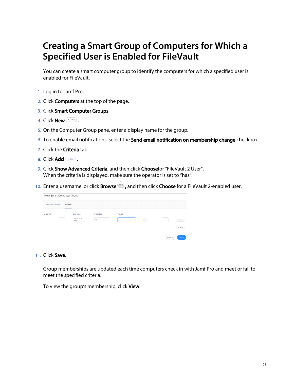## <span id="page-24-0"></span>**Creating a Smart Group of Computers for Which a Specified User is Enabled for FileVault**

You can create a smart computer group to identify the computers for which a specified user is enabled for FileVault.

- 1. Log in to Jamf Pro.
- 2. Click **Computers** at the top of the page.
- 3. Click Smart Computer Groups.
- 4. Click **New**  $\left( \begin{array}{c} + & \text{New} \\ & \text{New} \end{array} \right)$ .
- 5. On the Computer Group pane, enter a display name for the group.
- 6. To enable email notifications, select the **Send email notification on membership change** checkbox.
- 7. Click the **Criteria** tab.
- 8. Click  $Add$   $A^{4d}$ .
- 9. Click **Show Advanced Criteria**, and then click **Choose**for "FileVault 2 User". When the criteria is displayed, make sure the operator is set to "has".
- 10. Enter a username, or click **Browse**  $\Box$ , and then click **Choose** for a FileVault 2-enabled user.

|                       | New Smart Computer Group |                     |                 |                         |                                                                                                                                                                                                                                                                                                                                 |                |
|-----------------------|--------------------------|---------------------|-----------------|-------------------------|---------------------------------------------------------------------------------------------------------------------------------------------------------------------------------------------------------------------------------------------------------------------------------------------------------------------------------|----------------|
| <b>Computer Group</b> | Criteria<br>_____        |                     |                 |                         |                                                                                                                                                                                                                                                                                                                                 |                |
| AND/OR                |                          | CRITERIA            | <b>OPERATOR</b> | VALUE                   |                                                                                                                                                                                                                                                                                                                                 |                |
| ۰                     |                          | FileVault 2<br>User | has             | $\overline{\mathbf{v}}$ | $\begin{pmatrix} 0 & 0 & 0 \\ 0 & 0 & 0 \\ 0 & 0 & 0 \\ 0 & 0 & 0 \\ 0 & 0 & 0 \\ 0 & 0 & 0 \\ 0 & 0 & 0 \\ 0 & 0 & 0 \\ 0 & 0 & 0 & 0 \\ 0 & 0 & 0 & 0 \\ 0 & 0 & 0 & 0 \\ 0 & 0 & 0 & 0 & 0 \\ 0 & 0 & 0 & 0 & 0 \\ 0 & 0 & 0 & 0 & 0 \\ 0 & 0 & 0 & 0 & 0 & 0 \\ 0 & 0 & 0 & 0 & 0 & 0 \\ 0 & 0 & 0 & 0 & 0 & 0 & 0 \\ 0 & $ | Delete<br>٠    |
|                       |                          |                     |                 |                         |                                                                                                                                                                                                                                                                                                                                 | $+$ Add        |
|                       |                          |                     |                 |                         |                                                                                                                                                                                                                                                                                                                                 | Cancel<br>Save |

#### 11. Click Save.

Group memberships are updated each time computers check in with Jamf Pro and meet or fail to meet the specified criteria.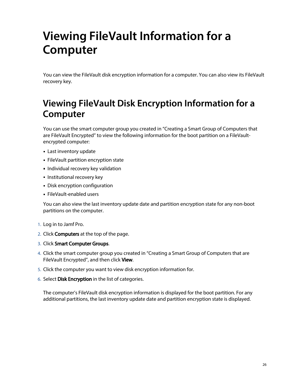# <span id="page-25-0"></span>**Viewing FileVault Information for a Computer**

You can view the FileVault disk encryption information for a computer. You can also view its FileVault recovery key.

## <span id="page-25-1"></span>**Viewing FileVault Disk Encryption Information for a Computer**

You can use the smart computer group you created in "Creating a Smart Group of Computers that are FileVault Encrypted" to view the following information for the boot partition on a FileVaultencrypted computer:

- Last inventory update
- **FileVault partition encryption state**
- **Individual recovery key validation**
- **Institutional recovery key**
- Disk encryption configuration
- FileVault-enabled users

You can also view the last inventory update date and partition encryption state for any non-boot partitions on the computer.

- 1. Log in to Jamf Pro.
- 2. Click **Computers** at the top of the page.
- 3. Click Smart Computer Groups.
- 4. Click the smart computer group you created in "Creating a Smart Group of Computers that are FileVault Encrypted", and then click View.
- 5. Click the computer you want to view disk encryption information for.
- 6. Select **Disk Encryption** in the list of categories.

The computer's FileVault disk encryption information is displayed for the boot partition. For any additional partitions, the last inventory update date and partition encryption state is displayed.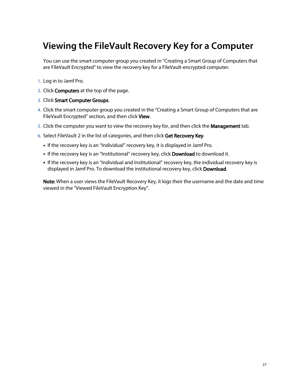## <span id="page-26-0"></span>**Viewing the FileVault Recovery Key for a Computer**

You can use the smart computer group you created in "Creating a Smart Group of Computers that are FileVault Encrypted" to view the recovery key for a FileVault-encrypted computer.

- 1. Log in to Jamf Pro.
- 2. Click **Computers** at the top of the page.
- 3. Click Smart Computer Groups.
- 4. Click the smart computer group you created in the "Creating a Smart Group of Computers that are FileVault Encrypted" section, and then click View.
- 5. Click the computer you want to view the recovery key for, and then click the **Management** tab.
- 6. Select FileVault 2 in the list of categories, and then click Get Recovery Key.
	- If the recovery key is an "Individual" recovery key, it is displayed in Jamf Pro.
	- If the recovery key is an "Institutional" recovery key, click **Download** to download it.
	- If the recovery key is an "Individual and Institutional" recovery key, the individual recovery key is displayed in Jamf Pro. To download the institutional recovery key, click Download.

Note: When a user views the FileVault Recovery Key, it logs their the username and the date and time viewed in the "Viewed FileVault Encryption Key".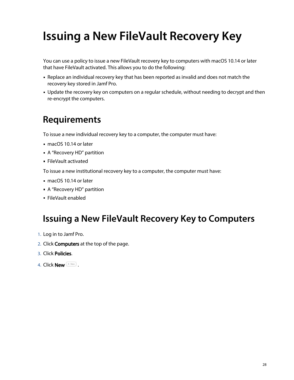# <span id="page-27-0"></span>**Issuing a New FileVault Recovery Key**

You can use a policy to issue a new FileVault recovery key to computers with macOS 10.14 or later that have FileVault activated. This allows you to do the following:

- Replace an individual recovery key that has been reported as invalid and does not match the recovery key stored in Jamf Pro.
- Update the recovery key on computers on a regular schedule, without needing to decrypt and then re-encrypt the computers.

### <span id="page-27-1"></span>**Requirements**

To issue a new individual recovery key to a computer, the computer must have:

- macOS 10.14 or later
- A "Recovery HD" partition
- FileVault activated

To issue a new institutional recovery key to a computer, the computer must have:

- macOS 10.14 or later
- A "Recovery HD" partition
- FileVault enabled

### <span id="page-27-2"></span>**Issuing a New FileVault Recovery Key to Computers**

- 1. Log in to Jamf Pro.
- 2. Click **Computers** at the top of the page.
- 3. Click Policies.
- 4. Click **New**  $\overset{+}{\longleftarrow}$ .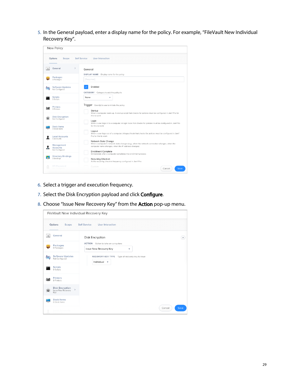5. In the General payload, enter a display name for the policy. For example, "FileVault New Individual Recovery Key".

|    | New Policy                                      |                                                                                                                                                                                 |
|----|-------------------------------------------------|---------------------------------------------------------------------------------------------------------------------------------------------------------------------------------|
|    | Options<br>Scope                                | <b>User Interaction</b><br><b>Self Service</b>                                                                                                                                  |
|    | $\rightarrow$<br>General                        | General<br>Display name for the policy<br><b>DISPLAY NAME</b>                                                                                                                   |
|    | Packages<br>0 Packages                          | [Required]                                                                                                                                                                      |
| ľЭ | <b>Software Updates</b><br>Not Configured       | Enabled<br>CATEGORY<br>Category to add the policy to                                                                                                                            |
|    | <b>Scripts</b><br>0 Scripts                     | None<br>٠                                                                                                                                                                       |
|    | <b>Printers</b><br>0 Printers                   | Trigger Event(s) to use to initiate the policy<br>Startup<br>When a computer starts up. A startup script that checks for policies must be configured in Jamf Pro for            |
|    | <b>Disk Encryption</b><br>Not Configured        | this to work<br>Login                                                                                                                                                           |
|    | Dock Items<br>0 Dock Items                      | When a user logs in to a computer. A login hook that checks for policies must be configured in Jamf Pro<br>for this to work<br>Logout                                           |
|    | <b>Local Accounts</b><br>0 Accounts             | When a user logs out of a computer. A logout hook that checks for policies must be configured in Jamf<br>Pro for this to work<br>Network State Change                           |
|    | Management<br><b>Accounts</b><br>Not Configured | When a computer's network state changes (e.g., when the network connection changes, when the<br>computer name changes, when the IP address changes)                             |
| Ы  | <b>Directory Bindings</b><br>0 Bindings         | <b>Enrollment Complete</b><br>Immediately after a computer completes the enrollment process<br>Recurring Check-in<br>At the recurring check-in frequency configured in Jamf Pro |
|    | <b>EFI Password</b><br>Configurant              | Custom<br>Save<br>Cancel                                                                                                                                                        |

- 6. Select a trigger and execution frequency.
- 7. Select the Disk Encryption payload and click Configure.
- 8. Choose "Issue New Recovery Key" from the **Action** pop-up menu.

|                |                                                             | FileVault New Individual Recovery Key                                              |
|----------------|-------------------------------------------------------------|------------------------------------------------------------------------------------|
|                | Options<br>Scope                                            | <b>User Interaction</b><br><b>Self Service</b>                                     |
| $\Box$         | General                                                     | Disk Encryption<br>$\times$                                                        |
|                | Packages<br>0 Packages                                      | <b>ACTION</b> Action to take on computers<br>Issue New Recovery Key<br>۰           |
| $\circledcirc$ | <b>Software Updates</b><br>Not Configured                   | RECOVERY KEY TYPE Type of recovery key to issue<br>Individual $\blacktriangledown$ |
|                | <b>Scripts</b><br>0 Scripts                                 |                                                                                    |
|                | <b>Printers</b><br>0 Printers                               |                                                                                    |
|                | <b>Disk Encryption</b><br>$\,$<br>Issue New Recovery<br>Key |                                                                                    |
|                | <b>Dock Items</b><br>0 Dock Items                           |                                                                                    |
| ۰              | Local Accounts                                              | Save<br>Cancel                                                                     |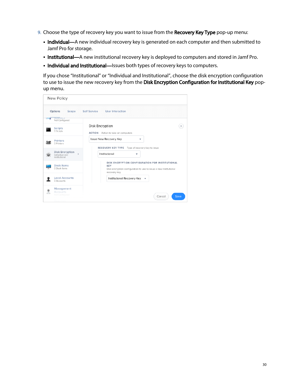- 9. Choose the type of recovery key you want to issue from the Recovery Key Type pop-up menu:
	- Individual—A new individual recovery key is generated on each computer and then submitted to Jamf Pro for storage.
	- **Institutional—**A new institutional recovery key is deployed to computers and stored in Jamf Pro.
	- **Individual and Institutional**—Issues both types of recovery keys to computers.

If you chose "Institutional" or "Individual and Institutional", choose the disk encryption configuration to use to issue the new recovery key from the Disk Encryption Configuration for Institutional Key popup menu.

|       | New Policy                                                     |                                                                                                                                                    |  |  |  |
|-------|----------------------------------------------------------------|----------------------------------------------------------------------------------------------------------------------------------------------------|--|--|--|
|       | Options<br>Scope                                               | <b>User Interaction</b><br><b>Self Service</b>                                                                                                     |  |  |  |
| w     | Uputrus<br>Not Configured                                      |                                                                                                                                                    |  |  |  |
|       | <b>Scripts</b><br>0 Scripts                                    | Disk Encryption<br>×<br><b>ACTION</b> Action to take on computers                                                                                  |  |  |  |
|       | <b>Printers</b><br>0 Printers                                  | Issue New Recovery Key<br>▼<br>RECOVERY KEY TYPE Type of recovery key to issue                                                                     |  |  |  |
|       | <b>Disk Encryption</b><br>><br>Individual and<br>Institutional | Institutional<br>▼                                                                                                                                 |  |  |  |
|       | Dock Items<br>0 Dock Items                                     | DISK ENCRYPTION CONFIGURATION FOR INSTITUTIONAL<br><b>KEY</b><br>Disk encryption configuration to use to issue a new institutional<br>recovery key |  |  |  |
|       | <b>Local Accounts</b><br>0 Accounts                            | Institutional Recovery Key<br>$\overline{\mathbf{v}}$                                                                                              |  |  |  |
| af In | Management<br>Accounts<br>Not Configured                       | Save<br>Cancel                                                                                                                                     |  |  |  |